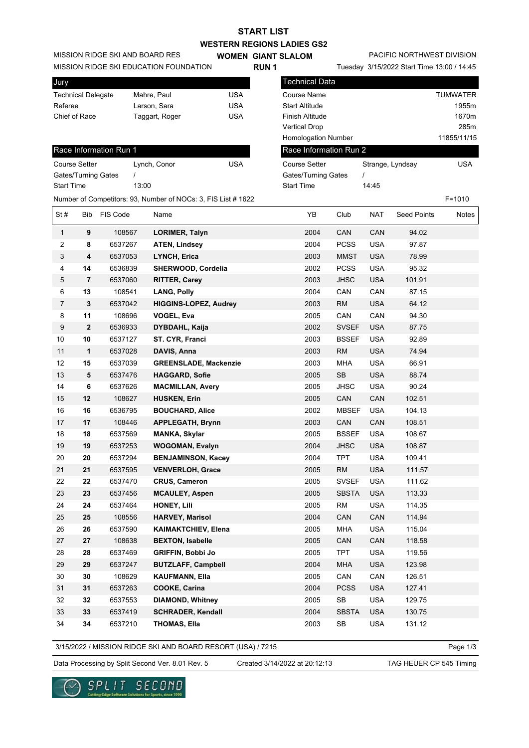|                                 | <b>START LIST</b>                 |
|---------------------------------|-----------------------------------|
|                                 | <b>WESTERN REGIONS LADIES GS2</b> |
| MISSION RIDGE SKI AND BOARD RES | <b>WOMEN GIANT SLALOM</b>         |

| Jury               |                |     |
|--------------------|----------------|-----|
| Technical Delegate | Mahre, Paul    | USA |
| Referee            | Larson, Sara   | USA |
| Chief of Race      | Taggart, Roger | USA |
|                    |                |     |

| Race Information Run 1 |                                                              |            |
|------------------------|--------------------------------------------------------------|------------|
| <b>Course Setter</b>   | Lynch, Conor                                                 | <b>USA</b> |
| Gates/Turning Gates    |                                                              |            |
| <b>Start Time</b>      | 13:00                                                        |            |
|                        | Number of Competitors: 93, Number of NOCs: 3, FIS List #1622 |            |

| MISSION RIDGE SKI EDUCATION FOUNDATION |                |                        |              | <b>RUN1</b>                                                   |            |  |                            | Tuesday 3/15/2022 Start Time 13:00 / 14:45 |                  |                    |                 |
|----------------------------------------|----------------|------------------------|--------------|---------------------------------------------------------------|------------|--|----------------------------|--------------------------------------------|------------------|--------------------|-----------------|
| Jury                                   |                |                        |              |                                                               |            |  | <b>Technical Data</b>      |                                            |                  |                    |                 |
| <b>Technical Delegate</b>              |                |                        | Mahre, Paul  |                                                               | <b>USA</b> |  | <b>Course Name</b>         |                                            |                  |                    | <b>TUMWATER</b> |
| Referee                                |                |                        | Larson, Sara |                                                               | <b>USA</b> |  | <b>Start Altitude</b>      |                                            |                  |                    | 1955m           |
| Chief of Race                          |                |                        |              | Taggart, Roger                                                | <b>USA</b> |  | <b>Finish Altitude</b>     |                                            |                  |                    | 1670m           |
|                                        |                |                        |              |                                                               |            |  | <b>Vertical Drop</b>       |                                            |                  |                    | 285m            |
|                                        |                |                        |              |                                                               |            |  | <b>Homologation Number</b> |                                            |                  |                    | 11855/11/15     |
|                                        |                | Race Information Run 1 |              |                                                               |            |  | Race Information Run 2     |                                            |                  |                    |                 |
| Course Setter                          |                |                        |              | Lynch, Conor                                                  | <b>USA</b> |  | <b>Course Setter</b>       |                                            | Strange, Lyndsay |                    | <b>USA</b>      |
| <b>Gates/Turning Gates</b>             |                |                        |              |                                                               |            |  | <b>Gates/Turning Gates</b> |                                            |                  |                    |                 |
| <b>Start Time</b>                      |                |                        | 13:00        |                                                               |            |  | <b>Start Time</b>          |                                            | 14:45            |                    |                 |
|                                        |                |                        |              | Number of Competitors: 93, Number of NOCs: 3, FIS List # 1622 |            |  |                            |                                            |                  |                    | $F = 1010$      |
| St#                                    | <b>Bib</b>     | FIS Code               |              | Name                                                          |            |  | YB                         | Club                                       | <b>NAT</b>       | <b>Seed Points</b> | Notes           |
| $\mathbf{1}$                           | 9              | 108567                 |              | <b>LORIMER, Talyn</b>                                         |            |  | 2004                       | CAN                                        | CAN              | 94.02              |                 |
| 2                                      | 8              | 6537267                |              | <b>ATEN, Lindsey</b>                                          |            |  | 2004                       | <b>PCSS</b>                                | <b>USA</b>       | 97.87              |                 |
| 3                                      | 4              | 6537053                |              | LYNCH, Erica                                                  |            |  | 2003                       | <b>MMST</b>                                | <b>USA</b>       | 78.99              |                 |
| 4                                      | 14             | 6536839                |              | SHERWOOD, Cordelia                                            |            |  | 2002                       | <b>PCSS</b>                                | <b>USA</b>       | 95.32              |                 |
| 5                                      | $\overline{7}$ | 6537060                |              | <b>RITTER, Carey</b>                                          |            |  | 2003                       | <b>JHSC</b>                                | <b>USA</b>       | 101.91             |                 |
| 6                                      | 13             | 108541                 |              | <b>LANG, Polly</b>                                            |            |  | 2004                       | CAN                                        | CAN              | 87.15              |                 |
| $\overline{7}$                         | 3              | 6537042                |              | <b>HIGGINS-LOPEZ, Audrey</b>                                  |            |  | 2003                       | <b>RM</b>                                  | <b>USA</b>       | 64.12              |                 |
| 8                                      | 11             | 108696                 |              | <b>VOGEL, Eva</b>                                             |            |  | 2005                       | CAN                                        | CAN              | 94.30              |                 |
| 9                                      | $\mathbf{2}$   | 6536933                |              | <b>DYBDAHL, Kaija</b>                                         |            |  | 2002                       | <b>SVSEF</b>                               | <b>USA</b>       | 87.75              |                 |
| 10                                     | 10             | 6537127                |              | ST. CYR, Franci                                               |            |  | 2003                       | <b>BSSEF</b>                               | <b>USA</b>       | 92.89              |                 |
| 11                                     | 1              | 6537028                |              | DAVIS, Anna                                                   |            |  | 2003                       | <b>RM</b>                                  | <b>USA</b>       | 74.94              |                 |
| 12                                     | 15             | 6537039                |              | <b>GREENSLADE, Mackenzie</b>                                  |            |  | 2003                       | <b>MHA</b>                                 | <b>USA</b>       | 66.91              |                 |
| 13                                     | 5              | 6537476                |              | <b>HAGGARD, Sofie</b>                                         |            |  | 2005                       | <b>SB</b>                                  | <b>USA</b>       | 88.74              |                 |
| 14                                     | 6              | 6537626                |              | <b>MACMILLAN, Avery</b>                                       |            |  | 2005                       | <b>JHSC</b>                                | <b>USA</b>       | 90.24              |                 |
|                                        |                |                        |              |                                                               |            |  |                            |                                            |                  |                    |                 |

PACIFIC NORTHWEST DIVISION

9 2 6536933 DYBDAHL, Kaija **10** 6537127 **ST. CYR, Franci 1** 6537028 **DAVIS, Anna** 2003 RM USA 74.94 12 15 6537039 **GREENSLADE, Mackenzie 5** 6537476 **HAGGARD, Sofie 6** 6537626 **MACMILLAN, Avery 12** 108627 **HUSKEN, Erin** 2005 CAN CAN 102.51  **16** 6536795 **BOUCHARD, Alice** 2002 MBSEF USA 104.13  **17** 108446 **APPLEGATH, Brynn** 2003 CAN CAN 108.51  **18** 6537569 **MANKA, Skylar** 2005 BSSEF USA 108.67  **19** 6537253 **WOGOMAN, Evalyn** 2004 JHSC USA 108.87  **20** 6537294 **BENJAMINSON, Kacey** 2004 TPT USA 109.41  **21** 6537595 **VENVERLOH, Grace** 2005 RM USA 111.57  **22** 6537470 **CRUS, Cameron** 2005 SVSEF USA 111.62  **23** 6537456 **MCAULEY, Aspen** 2005 SBSTA USA 113.33  **24** 6537464 **HONEY, Lili** 2005 RM USA 114.35  **25** 108556 **HARVEY, Marisol** 2004 CAN CAN 114.94  **26** 6537590 **KAIMAKTCHIEV, Elena** 2005 MHA USA 115.04  **27** 108638 **BEXTON, Isabelle** 2005 CAN CAN 118.58  **28** 6537469 **GRIFFIN, Bobbi Jo** 2005 TPT USA 119.56  **29** 6537247 **BUTZLAFF, Campbell** 2004 MHA USA 123.98  **30** 108629 **KAUFMANN, Ella** 2005 CAN CAN 126.51  **31** 6537263 **COOKE, Carina** 2004 PCSS USA 127.41  **32** 6537553 **DIAMOND, Whitney** 2005 SB USA 129.75  **33** 6537419 **SCHRADER, Kendall** 2004 SBSTA USA 130.75  **34** 6537210 **THOMAS, Ella** 2003 SB USA 131.12

3/15/2022 / MISSION RIDGE SKI AND BOARD RESORT (USA) / 7215

Page 1/3

Data Processing by Split Second Ver. 8.01 Rev. 5 Created 3/14/2022 at 20:12:13 TAG HEUER CP 545 Timing

Created 3/14/2022 at 20:12:13

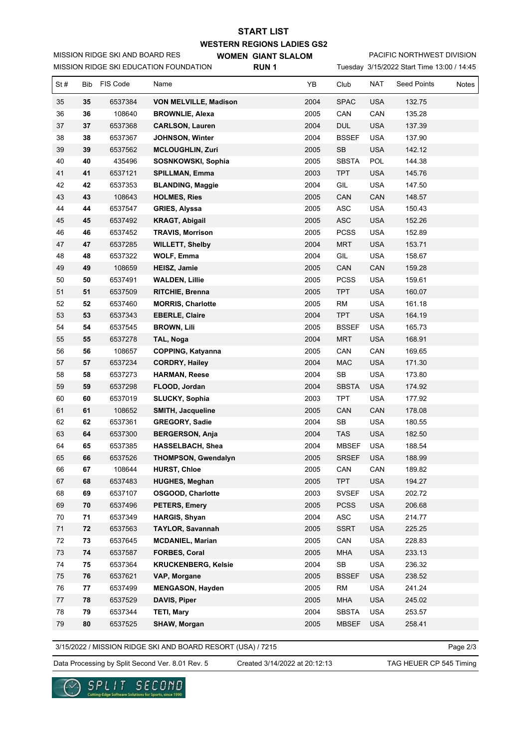## **WESTERN REGIONS LADIES GS2 WOMEN GIANT SLALOM START LIST**

MISSION RIDGE SKI AND BOARD RES

MISSION RIDGE SKI EDUCATION FOUNDATION

**RUN 1**

Tuesday 3/15/2022 Start Time 13:00 / 14:45 PACIFIC NORTHWEST DIVISION

| St#  | Bib        | FIS Code | Name                       | YB   | Club                        | <b>NAT</b> | <b>Seed Points</b> | Notes |
|------|------------|----------|----------------------------|------|-----------------------------|------------|--------------------|-------|
| 35   | 35         | 6537384  | VON MELVILLE, Madison      | 2004 | <b>SPAC</b>                 | <b>USA</b> | 132.75             |       |
| 36   | 36         | 108640   | <b>BROWNLIE, Alexa</b>     | 2005 | CAN                         | CAN        | 135.28             |       |
| 37   | 37         | 6537368  | <b>CARLSON, Lauren</b>     | 2004 | <b>DUL</b>                  | <b>USA</b> | 137.39             |       |
| 38   | 38         | 6537367  | JOHNSON, Winter            | 2004 | <b>BSSEF</b>                | <b>USA</b> | 137.90             |       |
| 39   | 39         | 6537562  | <b>MCLOUGHLIN, Zuri</b>    | 2005 | SB                          | <b>USA</b> | 142.12             |       |
| 40   | 40         | 435496   | SOSNKOWSKI, Sophia         | 2005 | <b>SBSTA</b>                | POL        | 144.38             |       |
| 41   | 41         | 6537121  | <b>SPILLMAN, Emma</b>      | 2003 | <b>TPT</b>                  | <b>USA</b> | 145.76             |       |
| 42   | 42         | 6537353  | <b>BLANDING, Maggie</b>    | 2004 | GIL                         | <b>USA</b> | 147.50             |       |
| 43   | 43         | 108643   | <b>HOLMES, Ries</b>        | 2005 | CAN                         | CAN        | 148.57             |       |
| 44   | 44         | 6537547  | <b>GRIES, Alyssa</b>       | 2005 | ASC                         | <b>USA</b> | 150.43             |       |
| 45   | 45         | 6537492  | <b>KRAGT, Abigail</b>      | 2005 | $\boldsymbol{\mathsf{ASC}}$ | <b>USA</b> | 152.26             |       |
| 46   | 46         | 6537452  | <b>TRAVIS, Morrison</b>    | 2005 | <b>PCSS</b>                 | <b>USA</b> | 152.89             |       |
| 47   | 47         | 6537285  | <b>WILLETT, Shelby</b>     | 2004 | <b>MRT</b>                  | <b>USA</b> | 153.71             |       |
| 48   | 48         | 6537322  | <b>WOLF, Emma</b>          | 2004 | GIL                         | <b>USA</b> | 158.67             |       |
| 49   | 49         | 108659   | <b>HEISZ, Jamie</b>        | 2005 | CAN                         | CAN        | 159.28             |       |
| 50   | 50         | 6537491  | <b>WALDEN, Lillie</b>      | 2005 | <b>PCSS</b>                 | <b>USA</b> | 159.61             |       |
| 51   | 51         | 6537509  | RITCHIE, Brenna            | 2005 | <b>TPT</b>                  | <b>USA</b> | 160.07             |       |
| 52   | 52         | 6537460  | <b>MORRIS, Charlotte</b>   | 2005 | <b>RM</b>                   | <b>USA</b> | 161.18             |       |
| 53   | 53         | 6537343  | <b>EBERLE, Claire</b>      | 2004 | <b>TPT</b>                  | <b>USA</b> | 164.19             |       |
| 54   | 54         | 6537545  | <b>BROWN, Lili</b>         | 2005 | <b>BSSEF</b>                | <b>USA</b> | 165.73             |       |
| 55   | 55         | 6537278  | TAL, Noga                  | 2004 | <b>MRT</b>                  | <b>USA</b> | 168.91             |       |
| 56   | 56         | 108657   | <b>COPPING, Katyanna</b>   | 2005 | CAN                         | CAN        | 169.65             |       |
| 57   | 57         | 6537234  | <b>CORDRY, Hailey</b>      | 2004 | <b>MAC</b>                  | <b>USA</b> | 171.30             |       |
| 58   | 58         | 6537273  | <b>HARMAN, Reese</b>       | 2004 | SB                          | <b>USA</b> | 173.80             |       |
| 59   | 59         | 6537298  | FLOOD, Jordan              | 2004 | <b>SBSTA</b>                | <b>USA</b> | 174.92             |       |
| 60   | 60         | 6537019  | <b>SLUCKY, Sophia</b>      | 2003 | <b>TPT</b>                  | <b>USA</b> | 177.92             |       |
| 61   | 61         | 108652   | SMITH, Jacqueline          | 2005 | CAN                         | CAN        | 178.08             |       |
| 62   | 62         | 6537361  | GREGORY, Sadie             | 2004 | SB                          | <b>USA</b> | 180.55             |       |
| 63   | 64         | 6537300  | <b>BERGERSON, Anja</b>     | 2004 | <b>TAS</b>                  | <b>USA</b> | 182.50             |       |
| 64   | 65         | 6537385  | HASSELBACH, Shea           | 2004 | <b>MBSEF</b>                | <b>USA</b> | 188.54             |       |
| 65   | 66         | 6537526  | <b>THOMPSON, Gwendalyn</b> | 2005 | <b>SRSEF</b>                | <b>USA</b> | 188.99             |       |
| 66   | 67         | 108644   | <b>HURST, Chloe</b>        | 2005 | CAN                         | CAN        | 189.82             |       |
| 67   | 68         | 6537483  | <b>HUGHES, Meghan</b>      | 2005 | <b>TPT</b>                  | <b>USA</b> | 194.27             |       |
| 68   | 69         | 6537107  | <b>OSGOOD, Charlotte</b>   | 2003 | <b>SVSEF</b>                | <b>USA</b> | 202.72             |       |
| 69   | 70         | 6537496  | <b>PETERS, Emery</b>       | 2005 | <b>PCSS</b>                 | <b>USA</b> | 206.68             |       |
| 70   | 71         | 6537349  | HARGIS, Shyan              | 2004 | ASC                         | <b>USA</b> | 214.77             |       |
| $71$ | 72         | 6537563  | TAYLOR, Savannah           | 2005 | <b>SSRT</b>                 | <b>USA</b> | 225.25             |       |
| 72   | 73         | 6537645  | <b>MCDANIEL, Marian</b>    | 2005 | CAN                         | <b>USA</b> | 228.83             |       |
| 73   | 74         | 6537587  | FORBES, Coral              | 2005 | <b>MHA</b>                  | <b>USA</b> | 233.13             |       |
| 74   | 75         | 6537364  | <b>KRUCKENBERG, Kelsie</b> | 2004 | SB                          | <b>USA</b> | 236.32             |       |
| 75   | 76         | 6537621  | VAP, Morgane               | 2005 | <b>BSSEF</b>                | <b>USA</b> | 238.52             |       |
| 76   | 77         | 6537499  | <b>MENGASON, Hayden</b>    | 2005 | <b>RM</b>                   | <b>USA</b> | 241.24             |       |
| 77   | 78         | 6537529  | DAVIS, Piper               | 2005 | <b>MHA</b>                  | <b>USA</b> | 245.02             |       |
| 78   | 79         | 6537344  | <b>TETI, Mary</b>          | 2004 | <b>SBSTA</b>                | <b>USA</b> | 253.57             |       |
| 79   | ${\bf 80}$ | 6537525  | SHAW, Morgan               | 2005 | <b>MBSEF</b>                | <b>USA</b> | 258.41             |       |

3/15/2022 / MISSION RIDGE SKI AND BOARD RESORT (USA) / 7215

Page 2/3

Data Processing by Split Second Ver. 8.01 Rev. 5 Created 3/14/2022 at 20:12:13 TAG HEUER CP 545 Timing

Created 3/14/2022 at 20:12:13